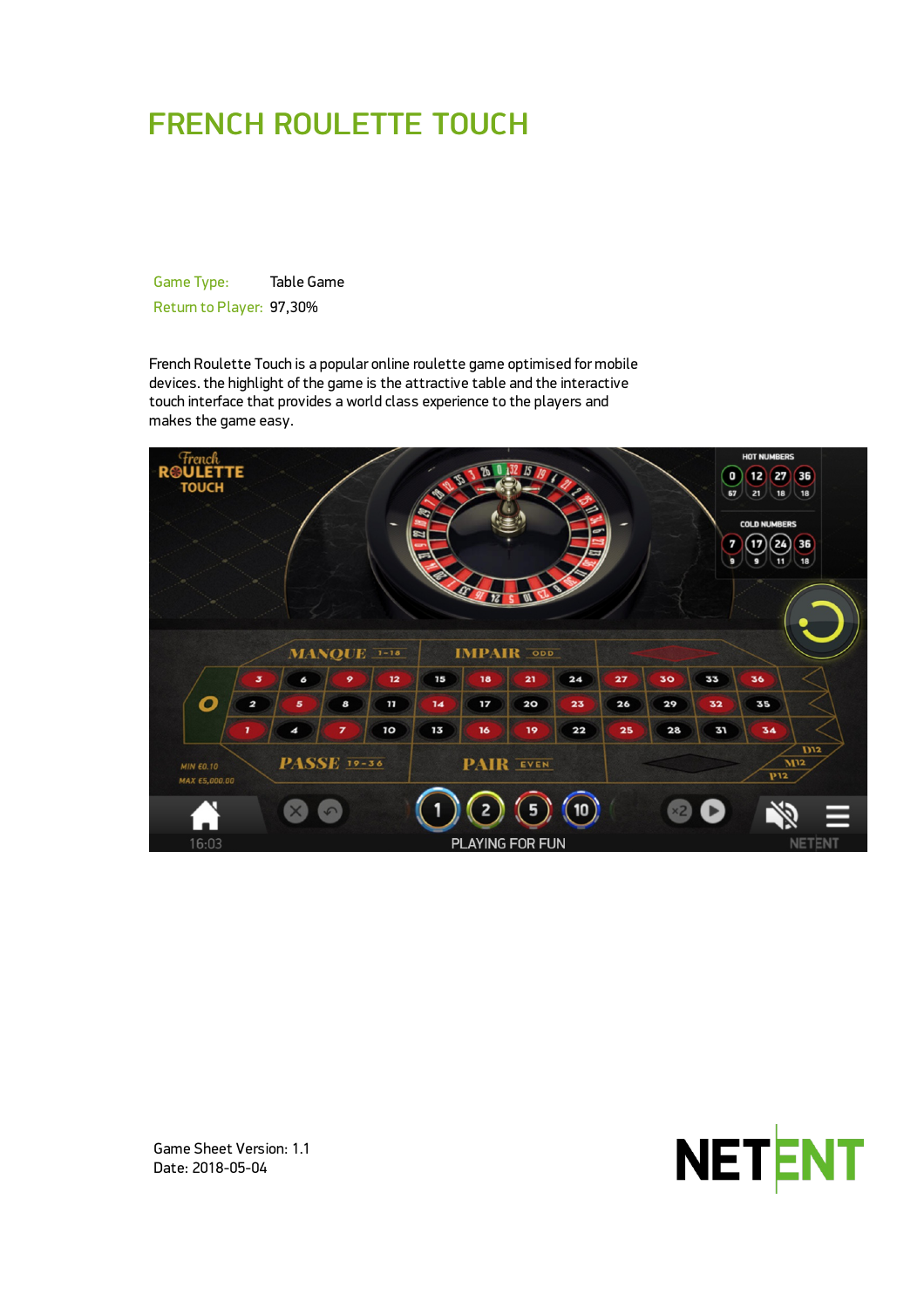# FRENCH ROULETTE TOUCH

Game Type: Table Game Return to Player: 97,30%

French Roulette Touch is a popular online roulette game optimised for mobile devices. the highlight of the game is the attractive table and the interactive touch interface that provides a world class experience to the players and makes the game easy.





Game Sheet Version: 1.1 Date: 2018-05-04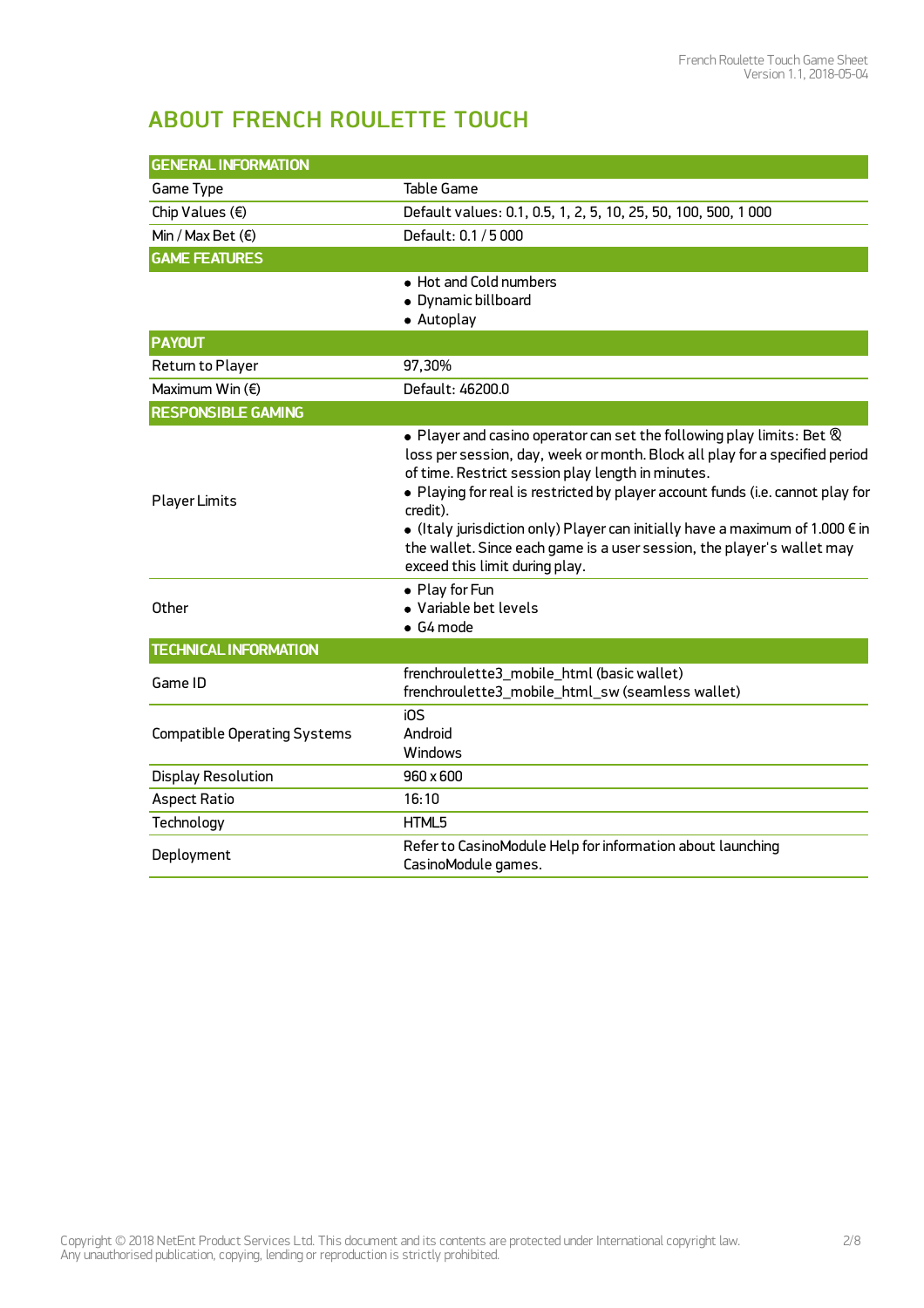## ABOUT FRENCH ROULETTE TOUCH

| <b>GENERAL INFORMATION</b>          |                                                                                                                                                                                                                                                                                                                                                                                                                                                                                                                               |  |
|-------------------------------------|-------------------------------------------------------------------------------------------------------------------------------------------------------------------------------------------------------------------------------------------------------------------------------------------------------------------------------------------------------------------------------------------------------------------------------------------------------------------------------------------------------------------------------|--|
| Game Type                           | <b>Table Game</b>                                                                                                                                                                                                                                                                                                                                                                                                                                                                                                             |  |
| Chip Values $(\epsilon)$            | Default values: 0.1, 0.5, 1, 2, 5, 10, 25, 50, 100, 500, 1000                                                                                                                                                                                                                                                                                                                                                                                                                                                                 |  |
| Min / Max Bet $(\epsilon)$          | Default: 0.1 / 5 000                                                                                                                                                                                                                                                                                                                                                                                                                                                                                                          |  |
| <b>GAME FEATURES</b>                |                                                                                                                                                                                                                                                                                                                                                                                                                                                                                                                               |  |
|                                     | • Hot and Cold numbers<br>• Dynamic billboard<br>• Autoplay                                                                                                                                                                                                                                                                                                                                                                                                                                                                   |  |
| <b>PAYOUT</b>                       |                                                                                                                                                                                                                                                                                                                                                                                                                                                                                                                               |  |
| Return to Player                    | 97,30%                                                                                                                                                                                                                                                                                                                                                                                                                                                                                                                        |  |
| Maximum Win $(E)$                   | Default: 46200.0                                                                                                                                                                                                                                                                                                                                                                                                                                                                                                              |  |
| <b>RESPONSIBLE GAMING</b>           |                                                                                                                                                                                                                                                                                                                                                                                                                                                                                                                               |  |
| <b>Player Limits</b>                | $\bullet$ Player and casino operator can set the following play limits: Bet $\otimes$<br>loss per session, day, week or month. Block all play for a specified period<br>of time. Restrict session play length in minutes.<br>. Playing for real is restricted by player account funds (i.e. cannot play for<br>credit).<br>• (Italy jurisdiction only) Player can initially have a maximum of 1.000 $\epsilon$ in<br>the wallet. Since each game is a user session, the player's wallet may<br>exceed this limit during play. |  |
| Other                               | • Play for Fun<br>• Variable bet levels<br>$\bullet$ G4 mode                                                                                                                                                                                                                                                                                                                                                                                                                                                                  |  |
| <b>TECHNICAL INFORMATION</b>        |                                                                                                                                                                                                                                                                                                                                                                                                                                                                                                                               |  |
| Game ID                             | frenchroulette3_mobile_html (basic wallet)<br>frenchroulette3_mobile_html_sw (seamless wallet)                                                                                                                                                                                                                                                                                                                                                                                                                                |  |
| <b>Compatible Operating Systems</b> | iOS<br>Android<br>Windows                                                                                                                                                                                                                                                                                                                                                                                                                                                                                                     |  |
| <b>Display Resolution</b>           | 960 x 600                                                                                                                                                                                                                                                                                                                                                                                                                                                                                                                     |  |
| <b>Aspect Ratio</b>                 | 16:10                                                                                                                                                                                                                                                                                                                                                                                                                                                                                                                         |  |
| Technology                          | HTML5                                                                                                                                                                                                                                                                                                                                                                                                                                                                                                                         |  |
| Deployment                          | Refer to CasinoModule Help for information about launching<br>CasinoModule games.                                                                                                                                                                                                                                                                                                                                                                                                                                             |  |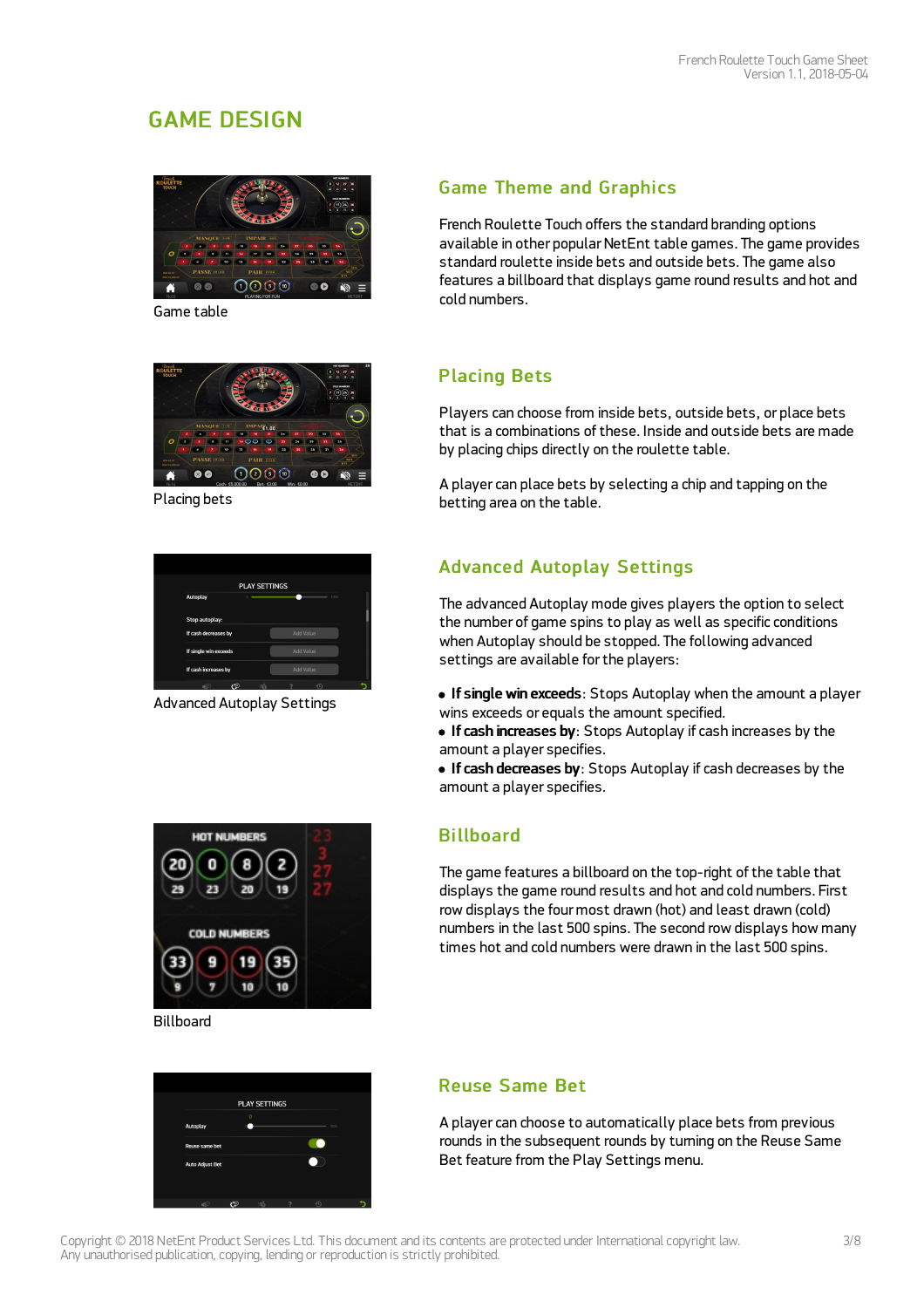## GAME DESIGN



Game table



Placing bets

| <b>PLAY SETTINGS</b>  |                  |
|-----------------------|------------------|
| Autoplay              | 1000             |
| Stop autoplay:        |                  |
| If cash decreases by  | <b>Add Value</b> |
| If single win exceeds | <b>Add Value</b> |
| If cash increases by  | Add Value        |
| ©۲<br>∎ি<br>≔ਨੋ       |                  |

Advanced Autoplay Settings

![](_page_2_Figure_8.jpeg)

Billboard

|                        |    | <b>PLAY SETTINGS</b> |      |  |
|------------------------|----|----------------------|------|--|
| Autoplay               |    | $\bf{0}$             | 1000 |  |
| Reuse same bet         |    |                      |      |  |
| <b>Auto Adjust Bet</b> |    |                      |      |  |
|                        | r۱ |                      |      |  |

## **Game Theme and Graphics**

French Roulette Touch offers the standard branding options available in other popular NetEnt table games. The game provides standard roulette inside bets and outside bets. The game also features a billboard that displays game round results and hot and cold numbers.

### Placing Bets

Players can choose from inside bets, outside bets, or place bets that is a combinations of these. Inside and outside bets are made by placing chips directly on the roulette table.

A player can place bets by selecting a chip and tapping on the betting area on the table.

## Advanced Autoplay Settings

The advanced Autoplay mode gives players the option to select the number of game spins to play as well as specific conditions when Autoplay should be stopped. The following advanced settings are available for the players:

- If single win exceeds: Stops Autoplay when the amount a player wins exceeds or equals the amount specified.
- If cash increases by: Stops Autoplay if cash increases by the amount a player specifies.
- **If cash decreases by:** Stops Autoplay if cash decreases by the amount a player specifies.

### **Billboard**

The game features a billboard on the top-right of the table that displays the game round results and hot and cold numbers. First row displays the four most drawn (hot) and least drawn (cold) numbers in the last 500 spins. The second row displays how many times hot and cold numbers were drawn in the last 500 spins.

### Reuse Same Bet

A player can choose to automatically place bets from previous rounds in the subsequent rounds by turning on the Reuse Same Bet feature from the Play Settings menu.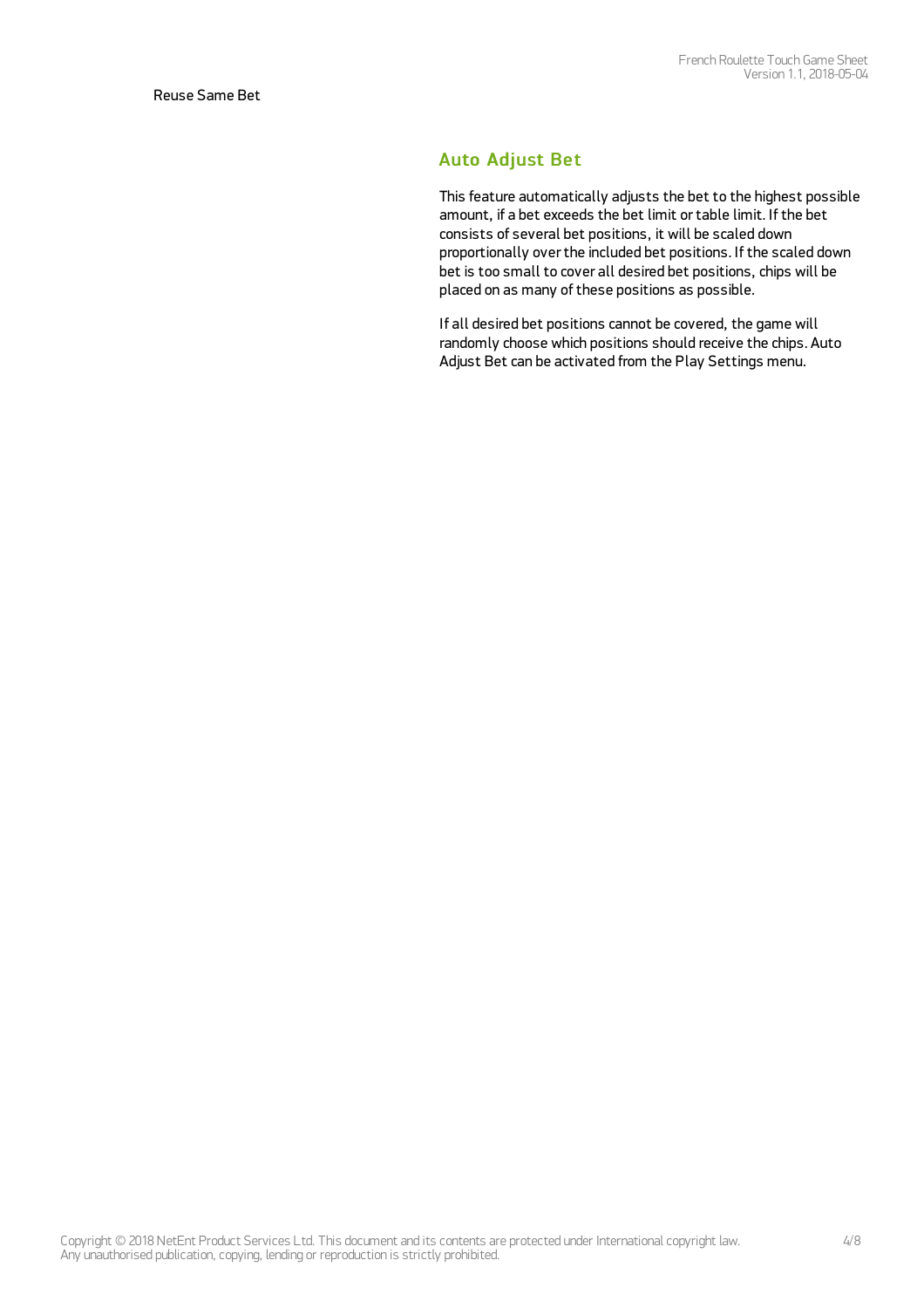#### Auto Adjust Bet

This feature automatically adjusts the bet to the highest possible amount, if a bet exceeds the bet limit ortable limit. If the bet consists of several bet positions, it will be scaled down proportionally overthe included bet positions. If the scaled down bet is too small to cover all desired bet positions, chips will be placed on as many of these positions as possible.

If all desired bet positions cannot be covered, the game will randomly choose which positions should receive the chips. Auto Adjust Bet can be activated from the Play Settings menu.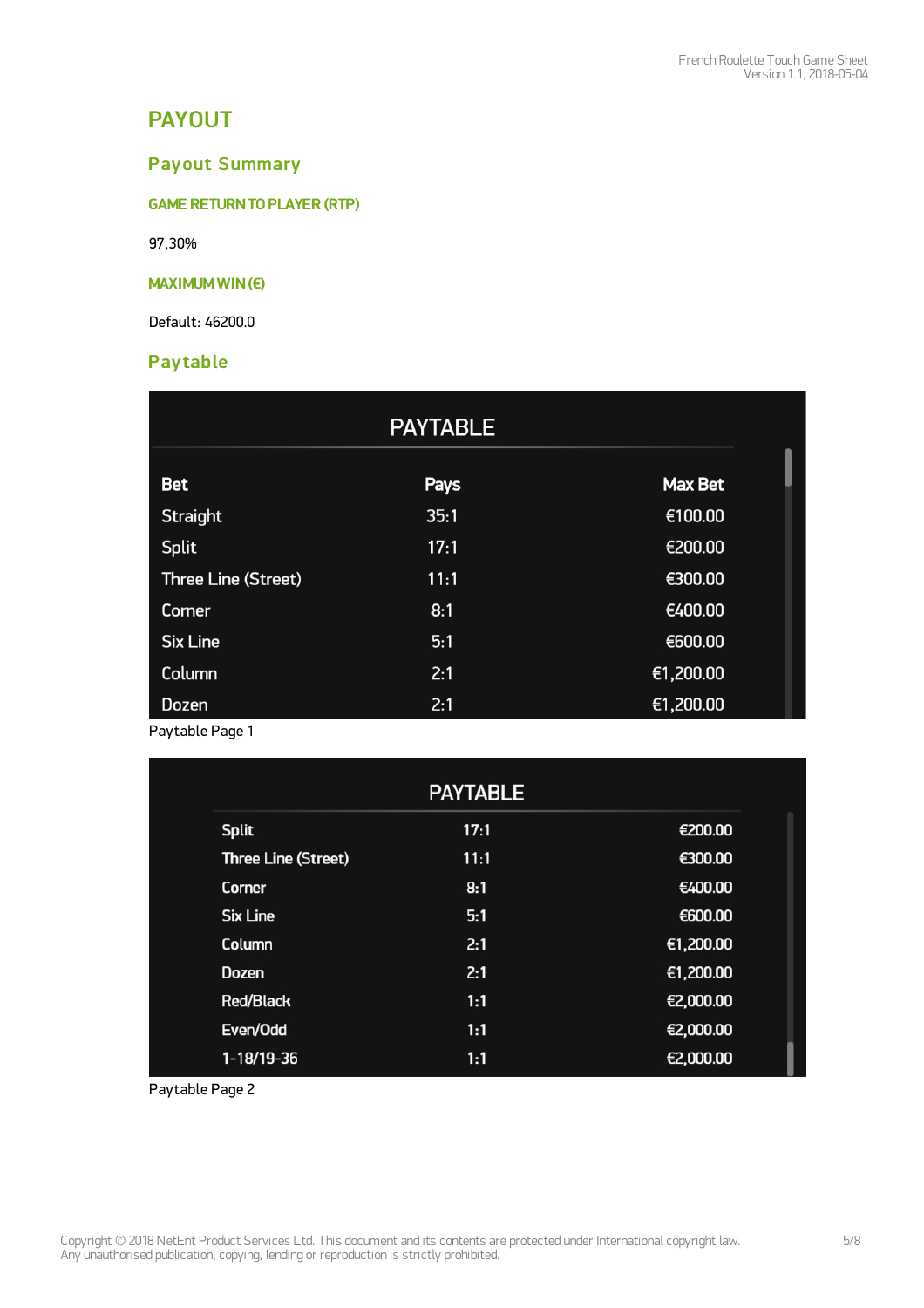## PAYOUT

## Payout Summary

**GAME RETURN TO PLAYER (RTP)** 

97,30%

#### MAXIMUM WIN(€)

Default: 46200.0

### **Pay table**

|                            | <b>PAYTABLE</b> |                |
|----------------------------|-----------------|----------------|
| <b>Bet</b>                 | <b>Pays</b>     | <b>Max Bet</b> |
| Straight                   | 35:1            | €100.00        |
| <b>Split</b>               | 17:1            | €200.00        |
| <b>Three Line (Street)</b> | 11:1            | €300.00        |
| Corner                     | 8:1             | €400.00        |
| <b>Six Line</b>            | 5:1             | €600.00        |
| Column                     | 2:1             | €1,200.00      |
| <b>Dozen</b>               | 2:1             | €1,200.00      |

Paytable Page 1

|                            | <b>PAYTABLE</b> |           |
|----------------------------|-----------------|-----------|
| <b>Split</b>               | 17:1            | €200.00   |
| <b>Three Line (Street)</b> | 11:1            | €300.00   |
| Corner                     | 8:1             | €400.00   |
| <b>Six Line</b>            | 5:1             | €600.00   |
| Column                     | 2:1             | €1,200.00 |
| <b>Dozen</b>               | 2:1             | €1,200.00 |
| <b>Red/Black</b>           | 1:1             | €2,000.00 |
| Even/Odd                   | 1:1             | €2,000.00 |
| $1-18/19-36$               | 1:1             | €2,000.00 |

Paytable Page 2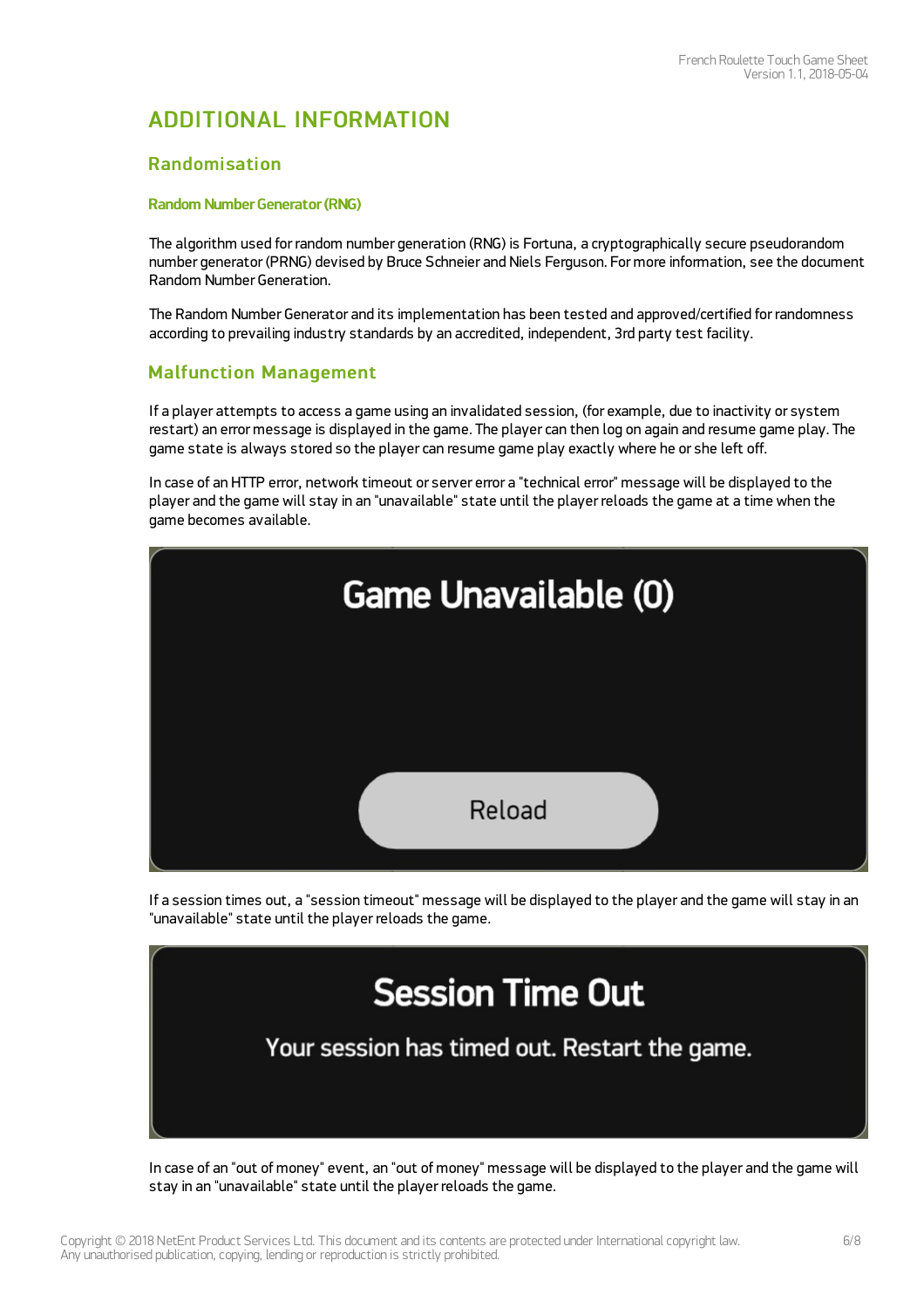## ADDITIONAL INFORMATION

#### Randomisation

#### Random Number Generator (RNG)

The algorithm used for random number generation (RNG) is Fortuna, a cryptographically secure pseudorandom number generator (PRNG) devised by Bruce Schneier and Niels Ferguson. For more information, see the document Random Number Generation.

The Random Number Generator and its implementation has been tested and approved/certified for randomness according to prevailing industry standards by an accredited, independent, 3rd party test facility.

#### Malfunction Management

If a player attempts to access a game using an invalidated session, (for example, due to inactivity or system restart) an error message is displayed in the game. The player can then log on again and resume game play. The game state is always stored so the player can resume game play exactly where he or she left off.

In case of an HTTP error, network timeout or server error a "technical error" message will be displayed to the player and the game will stay in an "unavailable" state until the player reloads the game at a time when the game becomes available.

![](_page_5_Figure_9.jpeg)

If a session times out, a "session timeout" message will be displayed to the player and the game will stay in an "unavailable" state until the player reloads the game.

![](_page_5_Picture_11.jpeg)

In case of an "out of money" event, an "out of money" message will be displayed to the player and the game will stay in an "unavailable" state until the player reloads the game.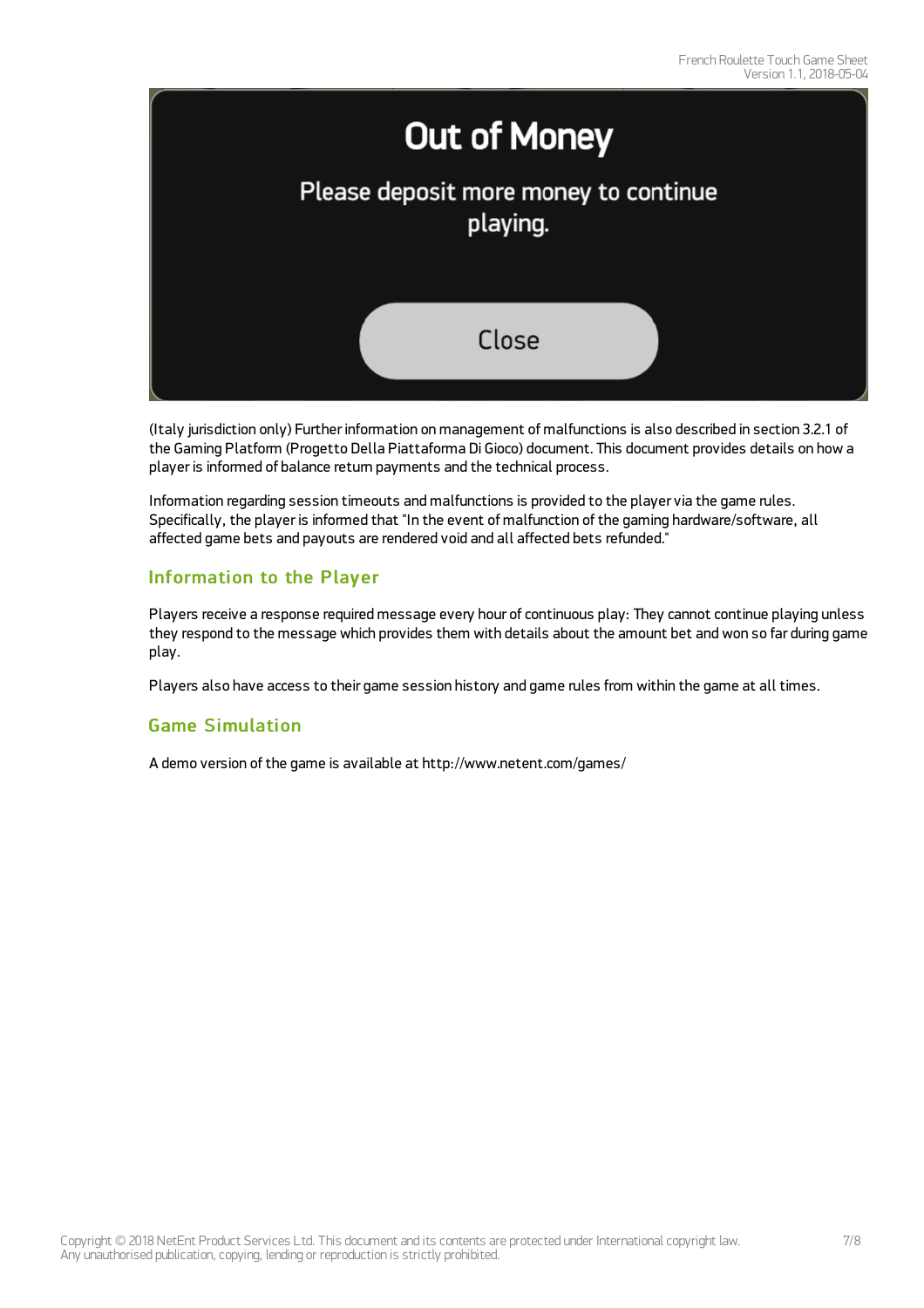![](_page_6_Picture_1.jpeg)

(Italy jurisdiction only) Further information on management of malfunctions is also described in section 3.2.1 of the Gaming Platform (Progetto Della Piattaforma Di Gioco) document. This document provides details on how a player is informed of balance return payments and the technical process.

Information regarding session timeouts and malfunctions is provided to the player via the game rules. Specifically, the player is informed that "In the event of malfunction of the gaming hardware/software, all affected game bets and payouts are rendered void and all affected bets refunded."

#### Information to the Player

Players receive a response required message every hour of continuous play: They cannot continue playing unless they respond to the message which provides them with details about the amount bet and won so far during game play.

Players also have access to their game session history and game rules from within the game at all times.

#### Game Simulation

A demo version of the game is available at <http://www.netent.com/games/>